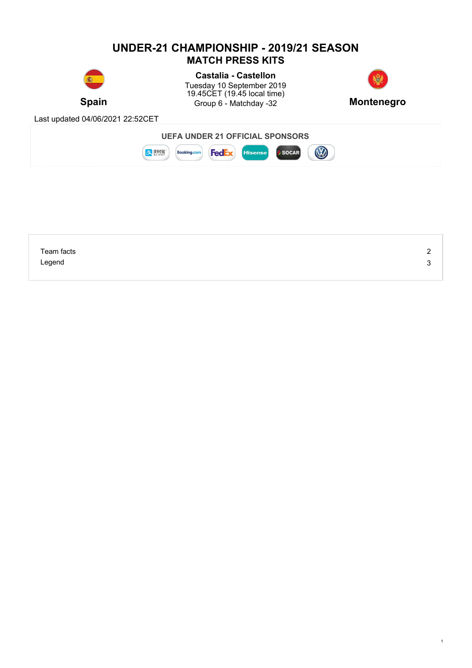## **UNDER-21 CHAMPIONSHIP - 2019/21 SEASON MATCH PRESS KITS Castalia - Castellon** Tuesday 10 September 2019 19.45CET (19.45 local time) **Spain Group 6 - Matchday -32 Montenegro** Last updated 04/06/2021 22:52CET **UEFA UNDER 21 OFFICIAL SPONSORS B** まま **Booking.com FedEx** Hisense **SOCAR**

| Team facts | - |
|------------|---|
| Legend     |   |
|            |   |

1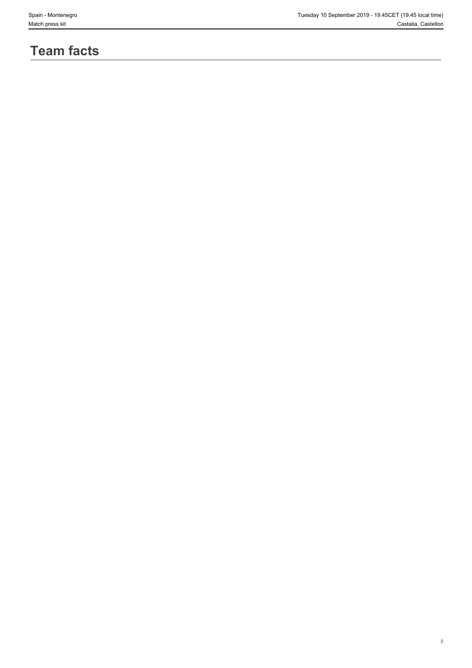2

# **Team facts**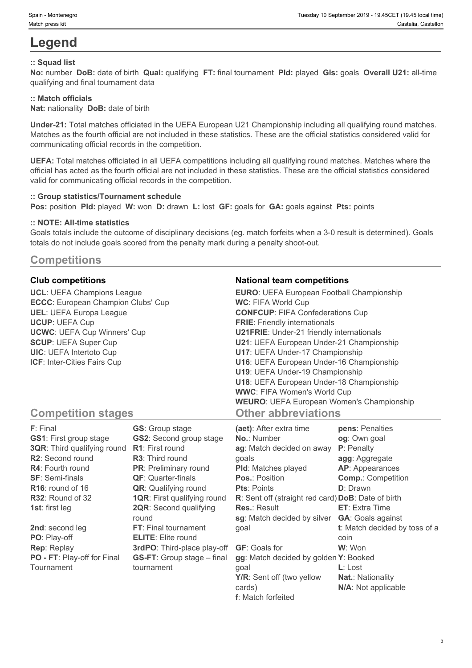# **Legend**

### **:: Squad list**

**No:** number **DoB:** date of birth **Qual:** qualifying **FT:** final tournament **Pld:** played **Gls:** goals **Overall U21:** all-time qualifying and final tournament data

#### **:: Match officials**

**Nat:** nationality **DoB:** date of birth

**Under-21:** Total matches officiated in the UEFA European U21 Championship including all qualifying round matches. Matches as the fourth official are not included in these statistics. These are the official statistics considered valid for communicating official records in the competition.

**UEFA:** Total matches officiated in all UEFA competitions including all qualifying round matches. Matches where the official has acted as the fourth official are not included in these statistics. These are the official statistics considered valid for communicating official records in the competition.

#### **:: Group statistics/Tournament schedule**

**Pos:** position **Pld:** played **W:** won **D:** drawn **L:** lost **GF:** goals for **GA:** goals against **Pts:** points

#### **:: NOTE: All-time statistics**

Goals totals include the outcome of disciplinary decisions (eg. match forfeits when a 3-0 result is determined). Goals totals do not include goals scored from the penalty mark during a penalty shoot-out.

# **Competitions**

**UCL**: UEFA Champions League **ECCC**: European Champion Clubs' Cup **UEL**: UEFA Europa League **UCUP**: UEFA Cup **UCWC**: UEFA Cup Winners' Cup **SCUP**: UEFA Super Cup **UIC**: UEFA Intertoto Cup **ICF**: Inter-Cities Fairs Cup

#### **Club competitions National team competitions**

| <b>EURO:</b> UEFA European Football Championship |  |
|--------------------------------------------------|--|
| <b>WC: FIFA World Cup</b>                        |  |
| <b>CONFCUP: FIFA Confederations Cup</b>          |  |
| <b>FRIE:</b> Friendly internationals             |  |
| <b>U21FRIE:</b> Under-21 friendly internationals |  |
| U21: UEFA European Under-21 Championship         |  |
| U17: UEFA Under-17 Championship                  |  |
| U16: UEFA European Under-16 Championship         |  |
| U19: UEFA Under-19 Championship                  |  |
| U18: UEFA European Under-18 Championship         |  |
| <b>WWC: FIFA Women's World Cup</b>               |  |
| <b>WEURO: UEFA European Women's Championship</b> |  |
| <b>Other abbreviations</b>                       |  |

# **Competition stages**

| F: Final                           | <b>GS:</b> Group stage             | (aet): After extra time                            | pens: Penalties               |
|------------------------------------|------------------------------------|----------------------------------------------------|-------------------------------|
| <b>GS1: First group stage</b>      | <b>GS2:</b> Second group stage     | <b>No.: Number</b>                                 | og: Own goal                  |
| <b>3QR:</b> Third qualifying round | <b>R1:</b> First round             | ag: Match decided on away                          | <b>P</b> : Penalty            |
| R2: Second round                   | <b>R3:</b> Third round             | qoals                                              | agg: Aggregate                |
| <b>R4:</b> Fourth round            | <b>PR:</b> Preliminary round       | <b>PId:</b> Matches played                         | AP: Appearances               |
| <b>SF: Semi-finals</b>             | <b>QF:</b> Quarter-finals          | <b>Pos.: Position</b>                              | <b>Comp.: Competition</b>     |
| $R16$ : round of 16                | <b>QR:</b> Qualifying round        | <b>Pts: Points</b>                                 | <b>D</b> : Drawn              |
| R32: Round of 32                   | <b>1QR: First qualifying round</b> | R: Sent off (straight red card) DoB: Date of birth |                               |
| <b>1st:</b> first leg              | <b>2QR:</b> Second qualifying      | <b>Res.: Result</b>                                | <b>ET:</b> Extra Time         |
|                                    | round                              | sg: Match decided by silver                        | <b>GA:</b> Goals against      |
| 2nd: second leg                    | FT: Final tournament               | qoal                                               | t: Match decided by toss of a |
| PO: Play-off                       | <b>ELITE:</b> Elite round          |                                                    | coin                          |
| <b>Rep: Replay</b>                 | 3rdPO: Third-place play-off        | <b>GF:</b> Goals for                               | W: Won                        |
| PO - FT: Play-off for Final        | <b>GS-FT:</b> Group stage – final  | gg: Match decided by golden Y: Booked              |                               |
| Tournament                         | tournament                         | qoal                                               | $L:$ Lost                     |
|                                    |                                    | Y/R: Sent off (two yellow                          | <b>Nat.: Nationality</b>      |
|                                    |                                    | cards)                                             | N/A: Not applicable           |

**f**: Match forfeited